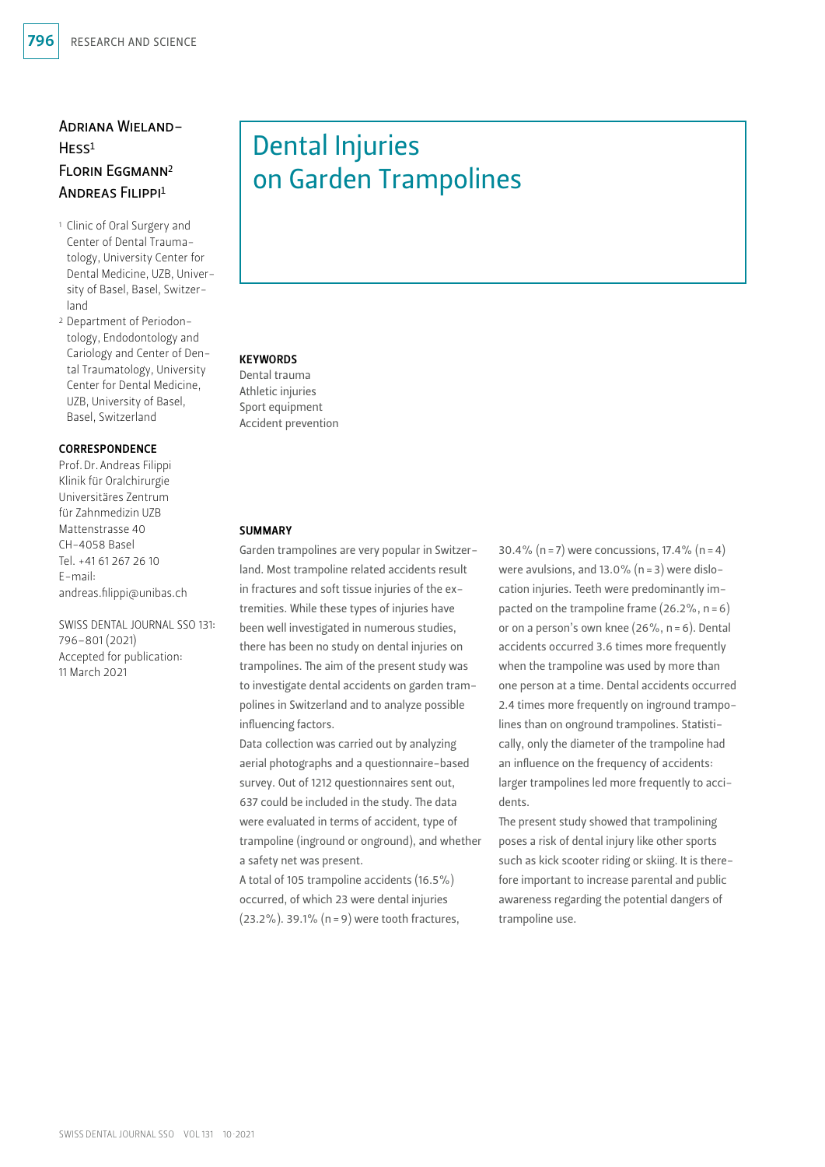## Adriana Wieland-Hess1 Florin Eggmann2 Andreas Filippi1

- 1 Clinic of Oral Surgery and Center of Dental Traumatology, University Center for Dental Medicine, UZB, University of Basel, Basel, Switzerland
- 2 Department of Periodontology, Endodontology and Cariology and Center of Dental Traumatology, University Center for Dental Medicine, UZB, University of Basel, Basel, Switzerland

#### **CORRESPONDENCE**

Prof.Dr.Andreas Filippi Klinik für Oralchirurgie Universitäres Zentrum für Zahnmedizin UZB Mattenstrasse 40 CH-4058 Basel Tel. +41 61 267 26 10 E-mail: andreas.filippi@unibas.ch

SWISS DENTAL JOURNAL SSO 131: 796–801 (2021) Accepted for publication: 11 March 2021

# Dental Injuries on Garden Trampolines

## **KEYWORDS**

Dental trauma Athletic injuries Sport equipment Accident prevention

#### **SUMMARY**

Garden trampolines are very popular in Switzerland. Most trampoline related accidents result in fractures and soft tissue injuries of the extremities. While these types of injuries have been well investigated in numerous studies, there has been no study on dental injuries on trampolines. The aim of the present study was to investigate dental accidents on garden trampolines in Switzerland and to analyze possible influencing factors.

Data collection was carried out by analyzing aerial photographs and a questionnaire-based survey. Out of 1212 questionnaires sent out, 637 could be included in the study. The data were evaluated in terms of accident, type of trampoline (inground or onground), and whether a safety net was present.

A total of 105 trampoline accidents (16.5%) occurred, of which 23 were dental injuries (23.2%). 39.1% (n=9) were tooth fractures,

30.4% (n = 7) were concussions,  $17.4\%$  (n = 4) were avulsions, and 13.0% (n=3) were dislocation injuries. Teeth were predominantly impacted on the trampoline frame  $(26.2\% , n=6)$ or on a person's own knee (26%, n=6). Dental accidents occurred 3.6 times more frequently when the trampoline was used by more than one person at a time. Dental accidents occurred 2.4 times more frequently on inground trampolines than on onground trampolines. Statistically, only the diameter of the trampoline had an influence on the frequency of accidents: larger trampolines led more frequently to accidents.

The present study showed that trampolining poses a risk of dental injury like other sports such as kick scooter riding or skiing. It is therefore important to increase parental and public awareness regarding the potential dangers of trampoline use.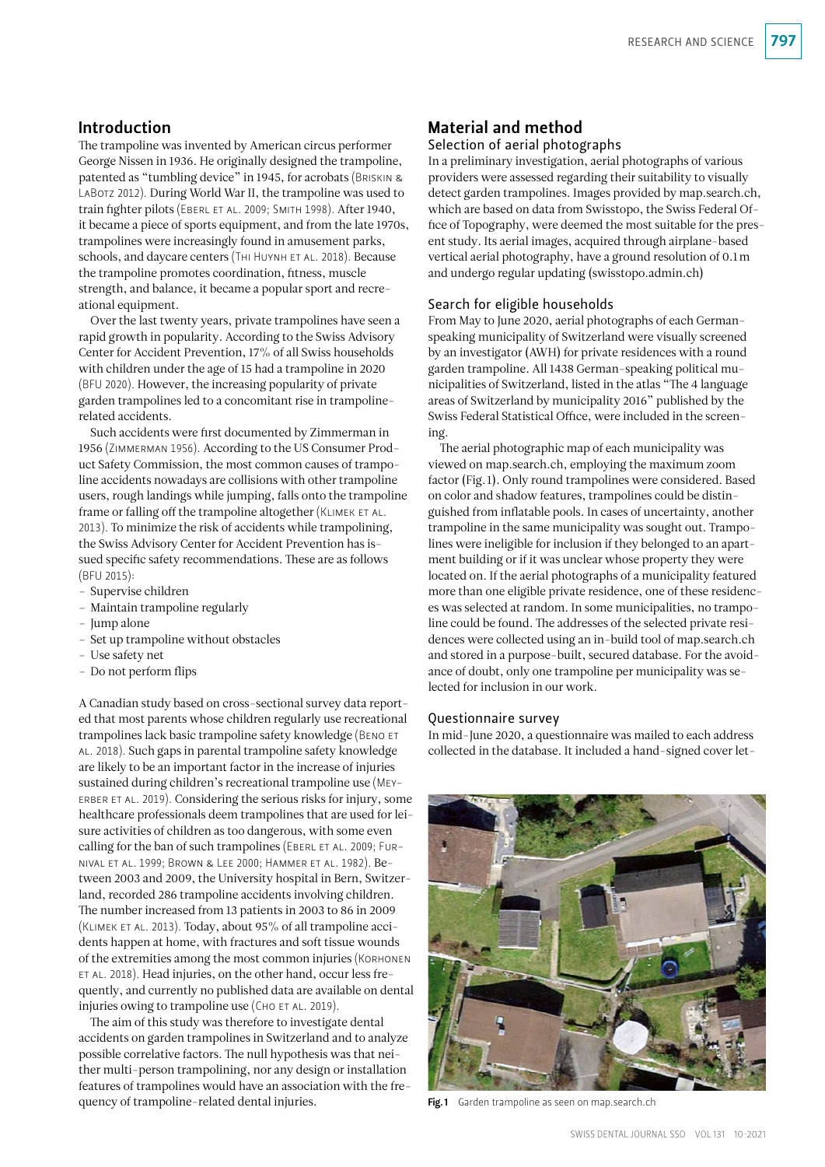## Introduction

The trampoline was invented by American circus performer George Nissen in 1936. He originally designed the trampoline, patented as "tumbling device" in 1945, for acrobats (Briskin & LABOTZ 2012). During World War II, the trampoline was used to train fighter pilots (Eberl et al. 2009; Smith 1998). After 1940, it became a piece of sports equipment, and from the late 1970s, trampolines were increasingly found in amusement parks, schools, and daycare centers (THI HUYNH ET AL. 2018). Because the trampoline promotes coordination, fitness, muscle strength, and balance, it became a popular sport and recreational equipment.

Over the last twenty years, private trampolines have seen a rapid growth in popularity. According to the Swiss Advisory Center for Accident Prevention, 17% of all Swiss households with children under the age of 15 had a trampoline in 2020 (BFU 2020). However, the increasing popularity of private garden trampolines led to a concomitant rise in trampolinerelated accidents.

Such accidents were first documented by Zimmerman in 1956 (Zimmerman 1956). According to the US Consumer Product Safety Commission, the most common causes of trampoline accidents nowadays are collisions with other trampoline users, rough landings while jumping, falls onto the trampoline frame or falling off the trampoline altogether (KLIMEK ET AL. 2013). To minimize the risk of accidents while trampolining, the Swiss Advisory Center for Accident Prevention has issued specific safety recommendations. These are as follows (BFU 2015):

- Supervise children
- Maintain trampoline regularly
- Jump alone
- Set up trampoline without obstacles
- Use safety net
- Do not perform flips

A Canadian study based on cross-sectional survey data reported that most parents whose children regularly use recreational trampolines lack basic trampoline safety knowledge (Beno et al. 2018). Such gaps in parental trampoline safety knowledge are likely to be an important factor in the increase of injuries sustained during children's recreational trampoline use (Meyerber et al. 2019). Considering the serious risks for injury, some healthcare professionals deem trampolines that are used for leisure activities of children as too dangerous, with some even calling for the ban of such trampolines (EBERL ET AL. 2009; FURnival et al. 1999; Brown & Lee 2000; Hammer et al. 1982). Between 2003 and 2009, the University hospital in Bern, Switzerland, recorded 286 trampoline accidents involving children. The number increased from 13 patients in 2003 to 86 in 2009 (Klimek et al. 2013). Today, about 95% of all trampoline accidents happen at home, with fractures and soft tissue wounds of the extremities among the most common injuries (Korhonen et al. 2018). Head injuries, on the other hand, occur less frequently, and currently no published data are available on dental injuries owing to trampoline use (CHO ET AL. 2019).

The aim of this study was therefore to investigate dental accidents on garden trampolines in Switzerland and to analyze possible correlative factors. The null hypothesis was that neither multi-person trampolining, nor any design or installation features of trampolines would have an association with the frequency of trampoline-related dental injuries.

## Material and method

## Selection of aerial photographs

In a preliminary investigation, aerial photographs of various providers were assessed regarding their suitability to visually detect garden trampolines. Images provided by [map.search.ch,](http://map.search.ch) which are based on data from Swisstopo, the Swiss Federal Office of Topography, were deemed the most suitable for the present study. Its aerial images, acquired through airplane-based vertical aerial photography, have a ground resolution of 0.1m and undergo regular updating ([swisstopo.admin.ch\)](http://swisstopo.admin.ch)

#### Search for eligible households

From May to June 2020, aerial photographs of each Germanspeaking municipality of Switzerland were visually screened by an investigator (AWH) for private residences with a round garden trampoline. All 1438 German-speaking political municipalities of Switzerland, listed in the atlas "The 4 language areas of Switzerland by municipality 2016" published by the Swiss Federal Statistical Office, were included in the screening.

The aerial photographic map of each municipality was viewed on [map.search.ch,](http://map.search.ch) employing the maximum zoom factor (Fig.1). Only round trampolines were considered. Based on color and shadow features, trampolines could be distinguished from inflatable pools. In cases of uncertainty, another trampoline in the same municipality was sought out. Trampolines were ineligible for inclusion if they belonged to an apartment building or if it was unclear whose property they were located on. If the aerial photographs of a municipality featured more than one eligible private residence, one of these residences was selected at random. In some municipalities, no trampoline could be found. The addresses of the selected private residences were collected using an in-build tool of [map.search.ch](http://map.search.ch)  and stored in a purpose-built, secured database. For the avoidance of doubt, only one trampoline per municipality was selected for inclusion in our work.

#### Questionnaire survey

In mid-June 2020, a questionnaire was mailed to each address collected in the database. It included a hand-signed cover let-



Fig.1 Garden trampoline as seen on map.search.ch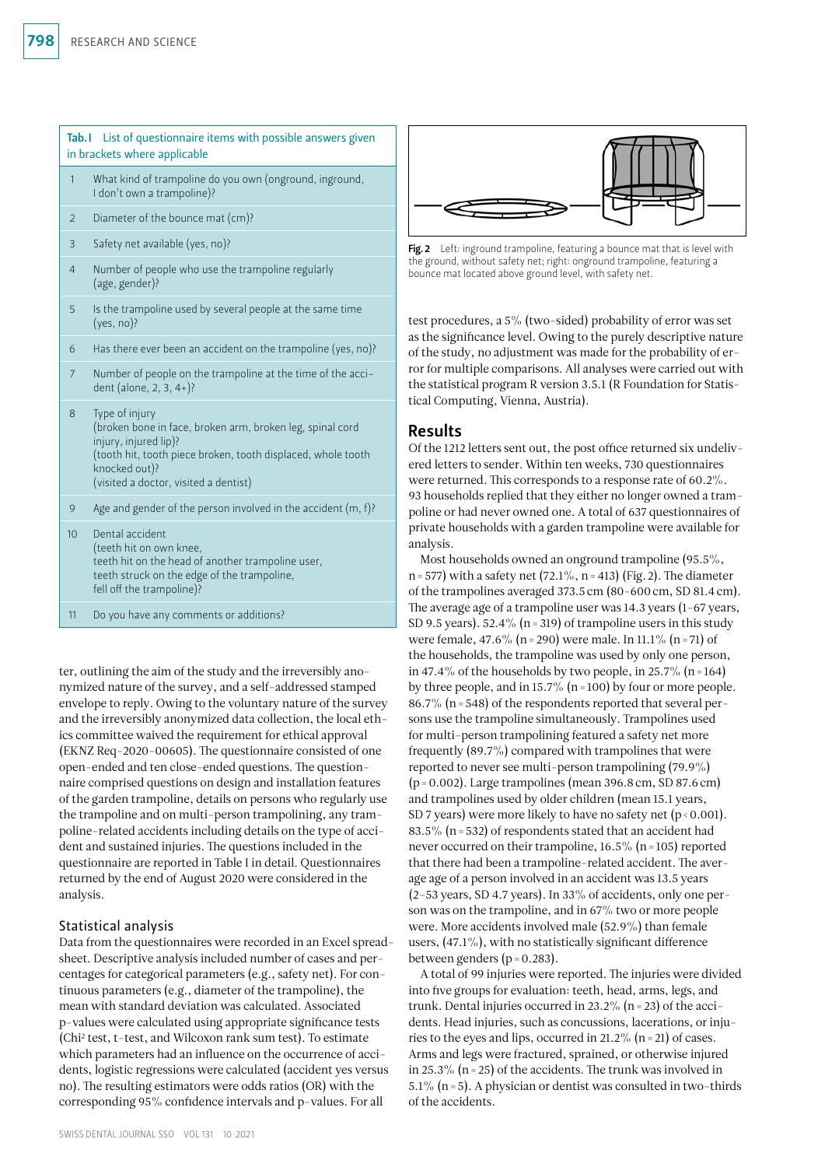| List of questionnaire items with possible answers given<br>Tab.I<br>in brackets where applicable |                                                                                                                                                                                                                                |
|--------------------------------------------------------------------------------------------------|--------------------------------------------------------------------------------------------------------------------------------------------------------------------------------------------------------------------------------|
| $\mathbf{1}$                                                                                     | What kind of trampoline do you own (onground, inground,<br>I don't own a trampoline)?                                                                                                                                          |
| 2                                                                                                | Diameter of the bounce mat (cm)?                                                                                                                                                                                               |
| 3                                                                                                | Safety net available (yes, no)?                                                                                                                                                                                                |
| $\overline{4}$                                                                                   | Number of people who use the trampoline regularly<br>(age, gender)?                                                                                                                                                            |
| 5                                                                                                | Is the trampoline used by several people at the same time<br>$(yes, no)$ ?                                                                                                                                                     |
| 6                                                                                                | Has there ever been an accident on the trampoline (yes, no)?                                                                                                                                                                   |
| $\overline{7}$                                                                                   | Number of people on the trampoline at the time of the acci-<br>dent (alone, 2, 3, 4+)?                                                                                                                                         |
| 8                                                                                                | Type of injury<br>(broken bone in face, broken arm, broken leg, spinal cord<br>injury, injured lip)?<br>(tooth hit, tooth piece broken, tooth displaced, whole tooth<br>knocked out)?<br>(visited a doctor, visited a dentist) |
| 9                                                                                                | Age and gender of the person involved in the accident $(m, f)$ ?                                                                                                                                                               |
| 10                                                                                               | Dental accident<br>(teeth hit on own knee,<br>teeth hit on the head of another trampoline user,<br>teeth struck on the edge of the trampoline,<br>fell off the trampoline)?                                                    |
| 11                                                                                               | Do you have any comments or additions?                                                                                                                                                                                         |

ter, outlining the aim of the study and the irreversibly anonymized nature of the survey, and a self-addressed stamped envelope to reply. Owing to the voluntary nature of the survey and the irreversibly anonymized data collection, the local ethics committee waived the requirement for ethical approval (EKNZ Req-2020-00605). The questionnaire consisted of one open-ended and ten close-ended questions. The questionnaire comprised questions on design and installation features of the garden trampoline, details on persons who regularly use the trampoline and on multi-person trampolining, any trampoline-related accidents including details on the type of accident and sustained injuries. The questions included in the questionnaire are reported in Table I in detail. Questionnaires returned by the end of August 2020 were considered in the analysis.

## Statistical analysis

Data from the questionnaires were recorded in an Excel spreadsheet. Descriptive analysis included number of cases and percentages for categorical parameters (e.g., safety net). For continuous parameters (e.g., diameter of the trampoline), the mean with standard deviation was calculated. Associated p-values were calculated using appropriate significance tests (Chi2 test, t-test, and Wilcoxon rank sum test). To estimate which parameters had an influence on the occurrence of accidents, logistic regressions were calculated (accident yes versus no). The resulting estimators were odds ratios (OR) with the corresponding 95% confidence intervals and p-values. For all



Fig. 2 Left: inground trampoline, featuring a bounce mat that is level with the ground, without safety net; right: onground trampoline, featuring a bounce mat located above ground level, with safety net.

test procedures, a 5% (two-sided) probability of error was set as the significance level. Owing to the purely descriptive nature of the study, no adjustment was made for the probability of error for multiple comparisons. All analyses were carried out with the statistical program R version 3.5.1 (R Foundation for Statistical Computing, Vienna, Austria).

## Results

Of the 1212 letters sent out, the post office returned six undelivered letters to sender. Within ten weeks, 730 questionnaires were returned. This corresponds to a response rate of 60.2%. 93 households replied that they either no longer owned a trampoline or had never owned one. A total of 637 questionnaires of private households with a garden trampoline were available for analysis.

Most households owned an onground trampoline (95.5%, n = 577) with a safety net (72.1%, n = 413) (Fig. 2). The diameter of the trampolines averaged 373.5 cm (80-600cm, SD 81.4 cm). The average age of a trampoline user was 14.3 years (1-67 years, SD 9.5 years). 52.4% ( $n=319$ ) of trampoline users in this study were female, 47.6% (n = 290) were male. In 11.1% (n = 71) of the households, the trampoline was used by only one person, in 47.4% of the households by two people, in 25.7% (n=164) by three people, and in 15.7% ( $n = 100$ ) by four or more people. 86.7% ( $n = 548$ ) of the respondents reported that several persons use the trampoline simultaneously. Trampolines used for multi-person trampolining featured a safety net more frequently (89.7%) compared with trampolines that were reported to never see multi-person trampolining (79.9%) (p=0.002). Large trampolines (mean 396.8 cm, SD 87.6 cm) and trampolines used by older children (mean 15.1 years, SD 7 years) were more likely to have no safety net  $(p < 0.001)$ . 83.5% ( $n = 532$ ) of respondents stated that an accident had never occurred on their trampoline, 16.5% (n=105) reported that there had been a trampoline-related accident. The average age of a person involved in an accident was 13.5 years  $(2-53 \text{ years}, SD 4.7 \text{ years})$ . In 33% of accidents, only one person was on the trampoline, and in 67% two or more people were. More accidents involved male (52.9%) than female users, (47.1%), with no statistically significant difference between genders  $(p=0.283)$ .

A total of 99 injuries were reported. The injuries were divided into five groups for evaluation: teeth, head, arms, legs, and trunk. Dental injuries occurred in  $23.2\%$  (n = 23) of the accidents. Head injuries, such as concussions, lacerations, or injuries to the eyes and lips, occurred in 21.2% (n=21) of cases. Arms and legs were fractured, sprained, or otherwise injured in 25.3% ( $n = 25$ ) of the accidents. The trunk was involved in  $5.1\%$  (n=5). A physician or dentist was consulted in two-thirds of the accidents.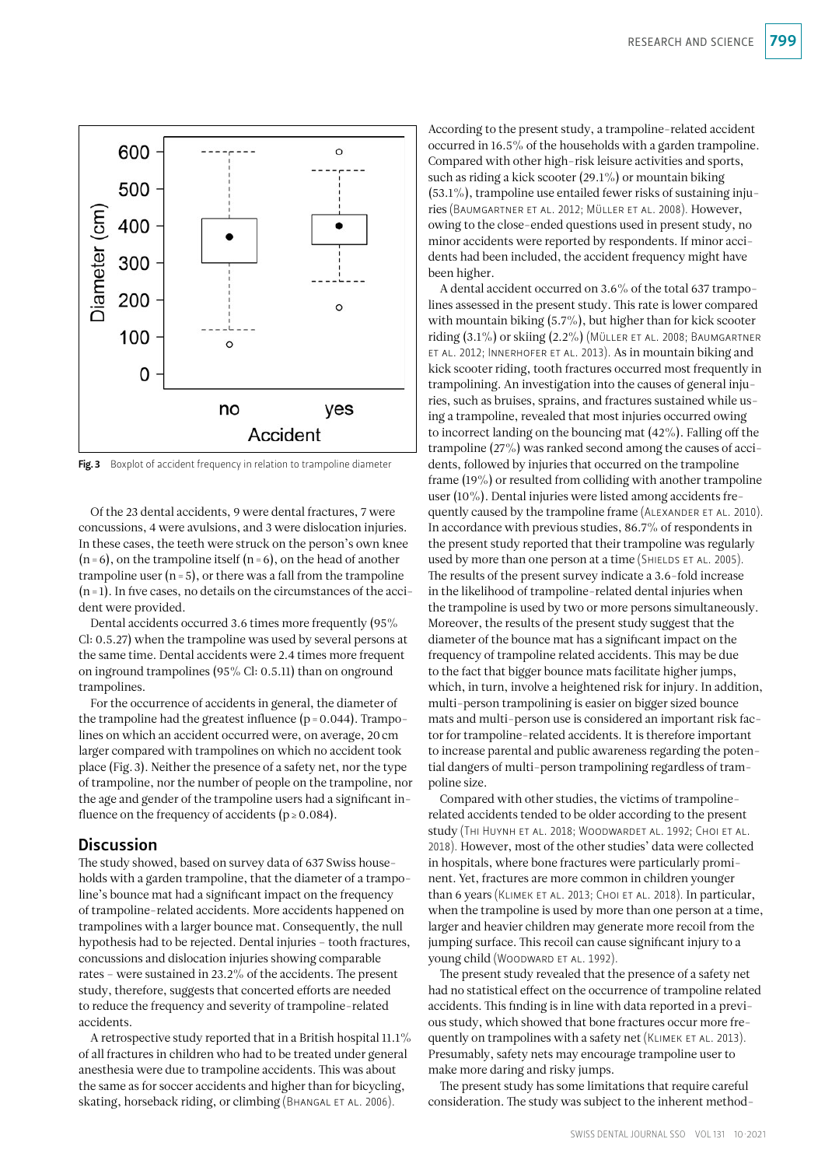

Fig. 3 Boxplot of accident frequency in relation to trampoline diameter

Of the 23 dental accidents, 9 were dental fractures, 7 were concussions, 4 were avulsions, and 3 were dislocation injuries. In these cases, the teeth were struck on the person's own knee  $(n=6)$ , on the trampoline itself  $(n=6)$ , on the head of another trampoline user  $(n=5)$ , or there was a fall from the trampoline  $(n=1)$ . In five cases, no details on the circumstances of the accident were provided.

Dental accidents occurred 3.6 times more frequently (95% Cl: 0.5.27) when the trampoline was used by several persons at the same time. Dental accidents were 2.4 times more frequent on inground trampolines (95% Cl: 0.5.11) than on onground trampolines.

For the occurrence of accidents in general, the diameter of the trampoline had the greatest influence  $(p=0.044)$ . Trampolines on which an accident occurred were, on average, 20cm larger compared with trampolines on which no accident took place (Fig.3). Neither the presence of a safety net, nor the type of trampoline, nor the number of people on the trampoline, nor the age and gender of the trampoline users had a significant influence on the frequency of accidents ( $p \ge 0.084$ ).

#### **Discussion**

The study showed, based on survey data of 637 Swiss households with a garden trampoline, that the diameter of a trampoline's bounce mat had a significant impact on the frequency of trampoline-related accidents. More accidents happened on trampolines with a larger bounce mat. Consequently, the null hypothesis had to be rejected. Dental injuries – tooth fractures, concussions and dislocation injuries showing comparable rates – were sustained in 23.2% of the accidents. The present study, therefore, suggests that concerted efforts are needed to reduce the frequency and severity of trampoline-related accidents.

A retrospective study reported that in a British hospital 11.1% of all fractures in children who had to be treated under general anesthesia were due to trampoline accidents. This was about the same as for soccer accidents and higher than for bicycling, skating, horseback riding, or climbing (BHANGAL ET AL. 2006).

According to the present study, a trampoline-related accident occurred in 16.5% of the households with a garden trampoline. Compared with other high-risk leisure activities and sports, such as riding a kick scooter (29.1%) or mountain biking  $(53.1\%)$ , trampoline use entailed fewer risks of sustaining injuries (Baumgartner et al. 2012; Müller et al. 2008). However, owing to the close-ended questions used in present study, no minor accidents were reported by respondents. If minor accidents had been included, the accident frequency might have been higher.

A dental accident occurred on 3.6% of the total 637 trampolines assessed in the present study. This rate is lower compared with mountain biking (5.7%), but higher than for kick scooter riding (3.1%) or skiing (2.2%) (Müller et al. 2008; Baumgartner et al. 2012; Innerhofer et al. 2013). As in mountain biking and kick scooter riding, tooth fractures occurred most frequently in trampolining. An investigation into the causes of general injuries, such as bruises, sprains, and fractures sustained while using a trampoline, revealed that most injuries occurred owing to incorrect landing on the bouncing mat (42%). Falling off the trampoline (27%) was ranked second among the causes of accidents, followed by injuries that occurred on the trampoline frame (19%) or resulted from colliding with another trampoline user (10%). Dental injuries were listed among accidents frequently caused by the trampoline frame (ALEXANDER ET AL. 2010). In accordance with previous studies, 86.7% of respondents in the present study reported that their trampoline was regularly used by more than one person at a time (SHIELDS ET AL. 2005). The results of the present survey indicate a 3.6-fold increase in the likelihood of trampoline-related dental injuries when the trampoline is used by two or more persons simultaneously. Moreover, the results of the present study suggest that the diameter of the bounce mat has a significant impact on the frequency of trampoline related accidents. This may be due to the fact that bigger bounce mats facilitate higher jumps, which, in turn, involve a heightened risk for injury. In addition, multi-person trampolining is easier on bigger sized bounce mats and multi-person use is considered an important risk factor for trampoline-related accidents. It is therefore important to increase parental and public awareness regarding the potential dangers of multi-person trampolining regardless of trampoline size.

Compared with other studies, the victims of trampolinerelated accidents tended to be older according to the present study (Thi Huynh et al. 2018; Woodwardet al. 1992; Choi et al. 2018). However, most of the other studies' data were collected in hospitals, where bone fractures were particularly prominent. Yet, fractures are more common in children younger than 6 years (Klimek et al. 2013; Choi et al. 2018). In particular, when the trampoline is used by more than one person at a time, larger and heavier children may generate more recoil from the jumping surface. This recoil can cause significant injury to a young child (WOODWARD ET AL. 1992).

The present study revealed that the presence of a safety net had no statistical effect on the occurrence of trampoline related accidents. This finding is in line with data reported in a previous study, which showed that bone fractures occur more frequently on trampolines with a safety net (KLIMEK ET AL. 2013). Presumably, safety nets may encourage trampoline user to make more daring and risky jumps.

The present study has some limitations that require careful consideration. The study was subject to the inherent method-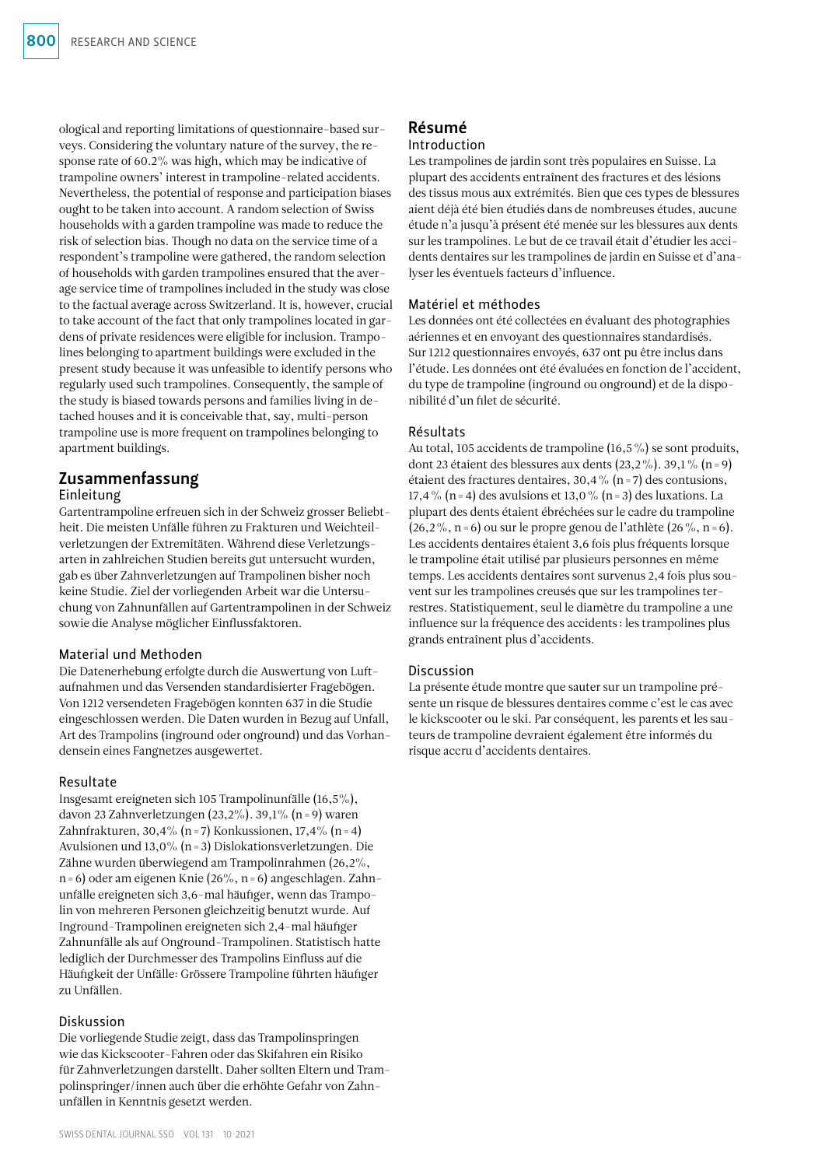ological and reporting limitations of questionnaire-based surveys. Considering the voluntary nature of the survey, the response rate of 60.2% was high, which may be indicative of trampoline owners' interest in trampoline-related accidents. Nevertheless, the potential of response and participation biases ought to be taken into account. A random selection of Swiss households with a garden trampoline was made to reduce the risk of selection bias. Though no data on the service time of a respondent's trampoline were gathered, the random selection of households with garden trampolines ensured that the average service time of trampolines included in the study was close to the factual average across Switzerland. It is, however, crucial to take account of the fact that only trampolines located in gardens of private residences were eligible for inclusion. Trampolines belonging to apartment buildings were excluded in the present study because it was unfeasible to identify persons who regularly used such trampolines. Consequently, the sample of the study is biased towards persons and families living in detached houses and it is conceivable that, say, multi-person trampoline use is more frequent on trampolines belonging to apartment buildings.

## Zusammenfassung Einleitung

## Gartentrampoline erfreuen sich in der Schweiz grosser Beliebtheit. Die meisten Unfälle führen zu Frakturen und Weichteilverletzungen der Extremitäten. Während diese Verletzungsarten in zahlreichen Studien bereits gut untersucht wurden, gab es über Zahnverletzungen auf Trampolinen bisher noch keine Studie. Ziel der vorliegenden Arbeit war die Untersuchung von Zahnunfällen auf Gartentrampolinen in der Schweiz sowie die Analyse möglicher Einflussfaktoren.

## Material und Methoden

Die Datenerhebung erfolgte durch die Auswertung von Luftaufnahmen und das Versenden standardisierter Fragebögen. Von 1212 versendeten Fragebögen konnten 637 in die Studie eingeschlossen werden. Die Daten wurden in Bezug auf Unfall, Art des Trampolins (inground oder onground) und das Vorhandensein eines Fangnetzes ausgewertet.

## Resultate

Insgesamt ereigneten sich 105 Trampolinunfälle (16,5%), davon 23 Zahnverletzungen (23,2%). 39,1% (n=9) waren Zahnfrakturen, 30,4% (n=7) Konkussionen, 17,4% (n=4) Avulsionen und 13,0% (n=3) Dislokationsverletzungen. Die Zähne wurden überwiegend am Trampolinrahmen (26,2%, n=6) oder am eigenen Knie (26%, n=6) angeschlagen. Zahnunfälle ereigneten sich 3,6-mal häufiger, wenn das Trampolin von mehreren Personen gleichzeitig benutzt wurde. Auf Inground-Trampolinen ereigneten sich 2,4-mal häufiger Zahnunfälle als auf Onground-Trampolinen. Statistisch hatte lediglich der Durchmesser des Trampolins Einfluss auf die Häufigkeit der Unfälle: Grössere Trampoline führten häufiger zu Unfällen.

## Diskussion

Die vorliegende Studie zeigt, dass das Trampolinspringen wie das Kickscooter-Fahren oder das Skifahren ein Risiko für Zahnverletzungen darstellt. Daher sollten Eltern und Trampolinspringer/innen auch über die erhöhte Gefahr von Zahnunfällen in Kenntnis gesetzt werden.

# Résumé

## Introduction

Les trampolines de jardin sont très populaires en Suisse. La plupart des accidents entraînent des fractures et des lésions des tissus mous aux extrémités. Bien que ces types de blessures aient déjà été bien étudiés dans de nombreuses études, aucune étude n'a jusqu'à présent été menée sur les blessures aux dents sur les trampolines. Le but de ce travail était d'étudier les accidents dentaires sur les trampolines de jardin en Suisse et d'analyser les éventuels facteurs d'influence.

## Matériel et méthodes

Les données ont été collectées en évaluant des photographies aériennes et en envoyant des questionnaires standardisés. Sur 1212 questionnaires envoyés, 637 ont pu être inclus dans l'étude. Les données ont été évaluées en fonction de l'accident, du type de trampoline (inground ou onground) et de la disponibilité d'un filet de sécurité.

## Résultats

Au total, 105 accidents de trampoline (16,5%) se sont produits, dont 23 étaient des blessures aux dents  $(23,2\%)$ . 39,1% (n=9) étaient des fractures dentaires, 30,4 % (n = 7) des contusions, 17,4% (n=4) des avulsions et 13,0% (n=3) des luxations. La plupart des dents étaient ébréchées sur le cadre du trampoline  $(26,2\%, n=6)$  ou sur le propre genou de l'athlète  $(26\%, n=6)$ . Les accidents dentaires étaient 3,6 fois plus fréquents lorsque le trampoline était utilisé par plusieurs personnes en même temps. Les accidents dentaires sont survenus 2,4 fois plus souvent sur les trampolines creusés que sur les trampolines terrestres. Statistiquement, seul le diamètre du trampoline a une influence sur la fréquence des accidents: les trampolines plus grands entraînent plus d'accidents.

## **Discussion**

La présente étude montre que sauter sur un trampoline présente un risque de blessures dentaires comme c'est le cas avec le kickscooter ou le ski. Par conséquent, les parents et les sauteurs de trampoline devraient également être informés du risque accru d'accidents dentaires.